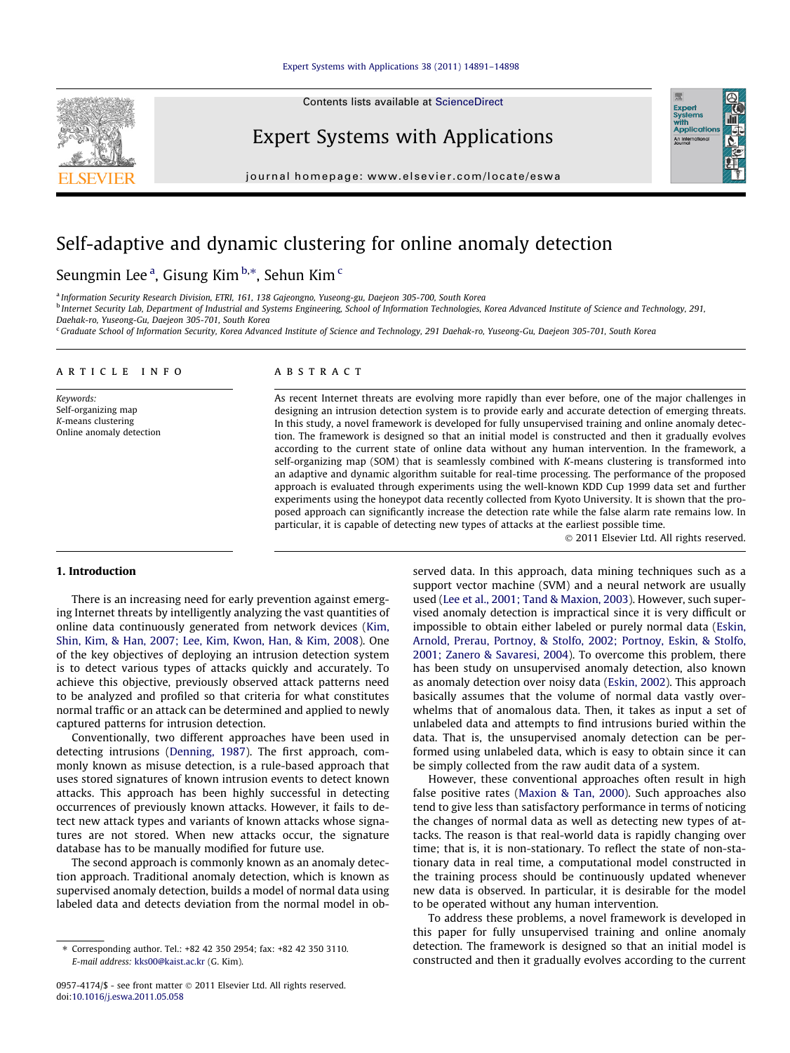

Expert Systems with Applications

journal homepage: [www.elsevier.com/locate/eswa](http://www.elsevier.com/locate/eswa)

## Self-adaptive and dynamic clustering for online anomaly detection

### Seungmin Lee<sup>a</sup>, Gisung Kim b.\*, Sehun Kim <sup>c</sup>

a Information Security Research Division, ETRI, 161, 138 Gajeongno, Yuseong-gu, Daejeon 305-700, South Korea

<sup>b</sup> Internet Security Lab, Department of Industrial and Systems Engineering, School of Information Technologies, Korea Advanced Institute of Science and Technology, 291, Daehak-ro, Yuseong-Gu, Daejeon 305-701, South Korea

<sup>c</sup> Graduate School of Information Security, Korea Advanced Institute of Science and Technology, 291 Daehak-ro, Yuseong-Gu, Daejeon 305-701, South Korea

#### article info

Keywords: Self-organizing map K-means clustering Online anomaly detection

#### ABSTRACT

As recent Internet threats are evolving more rapidly than ever before, one of the major challenges in designing an intrusion detection system is to provide early and accurate detection of emerging threats. In this study, a novel framework is developed for fully unsupervised training and online anomaly detection. The framework is designed so that an initial model is constructed and then it gradually evolves according to the current state of online data without any human intervention. In the framework, a self-organizing map (SOM) that is seamlessly combined with K-means clustering is transformed into an adaptive and dynamic algorithm suitable for real-time processing. The performance of the proposed approach is evaluated through experiments using the well-known KDD Cup 1999 data set and further experiments using the honeypot data recently collected from Kyoto University. It is shown that the proposed approach can significantly increase the detection rate while the false alarm rate remains low. In particular, it is capable of detecting new types of attacks at the earliest possible time.

- 2011 Elsevier Ltd. All rights reserved.

Expert<br>Systems<br>with<br>Applicat

#### 1. Introduction

There is an increasing need for early prevention against emerging Internet threats by intelligently analyzing the vast quantities of online data continuously generated from network devices [\(Kim,](#page--1-0) [Shin, Kim, & Han, 2007; Lee, Kim, Kwon, Han, & Kim, 2008\)](#page--1-0). One of the key objectives of deploying an intrusion detection system is to detect various types of attacks quickly and accurately. To achieve this objective, previously observed attack patterns need to be analyzed and profiled so that criteria for what constitutes normal traffic or an attack can be determined and applied to newly captured patterns for intrusion detection.

Conventionally, two different approaches have been used in detecting intrusions ([Denning, 1987](#page--1-0)). The first approach, commonly known as misuse detection, is a rule-based approach that uses stored signatures of known intrusion events to detect known attacks. This approach has been highly successful in detecting occurrences of previously known attacks. However, it fails to detect new attack types and variants of known attacks whose signatures are not stored. When new attacks occur, the signature database has to be manually modified for future use.

The second approach is commonly known as an anomaly detection approach. Traditional anomaly detection, which is known as supervised anomaly detection, builds a model of normal data using labeled data and detects deviation from the normal model in observed data. In this approach, data mining techniques such as a support vector machine (SVM) and a neural network are usually used [\(Lee et al., 2001; Tand & Maxion, 2003](#page--1-0)). However, such supervised anomaly detection is impractical since it is very difficult or impossible to obtain either labeled or purely normal data ([Eskin,](#page--1-0) [Arnold, Prerau, Portnoy, & Stolfo, 2002; Portnoy, Eskin, & Stolfo,](#page--1-0) [2001; Zanero & Savaresi, 2004\)](#page--1-0). To overcome this problem, there has been study on unsupervised anomaly detection, also known as anomaly detection over noisy data ([Eskin, 2002](#page--1-0)). This approach basically assumes that the volume of normal data vastly overwhelms that of anomalous data. Then, it takes as input a set of unlabeled data and attempts to find intrusions buried within the data. That is, the unsupervised anomaly detection can be performed using unlabeled data, which is easy to obtain since it can be simply collected from the raw audit data of a system.

However, these conventional approaches often result in high false positive rates [\(Maxion & Tan, 2000\)](#page--1-0). Such approaches also tend to give less than satisfactory performance in terms of noticing the changes of normal data as well as detecting new types of attacks. The reason is that real-world data is rapidly changing over time; that is, it is non-stationary. To reflect the state of non-stationary data in real time, a computational model constructed in the training process should be continuously updated whenever new data is observed. In particular, it is desirable for the model to be operated without any human intervention.

To address these problems, a novel framework is developed in this paper for fully unsupervised training and online anomaly detection. The framework is designed so that an initial model is constructed and then it gradually evolves according to the current

<sup>⇑</sup> Corresponding author. Tel.: +82 42 350 2954; fax: +82 42 350 3110. E-mail address: [kks00@kaist.ac.kr](mailto:kks00@kaist.ac.kr) (G. Kim).

<sup>0957-4174/\$ -</sup> see front matter © 2011 Elsevier Ltd. All rights reserved. doi[:10.1016/j.eswa.2011.05.058](http://dx.doi.org/10.1016/j.eswa.2011.05.058)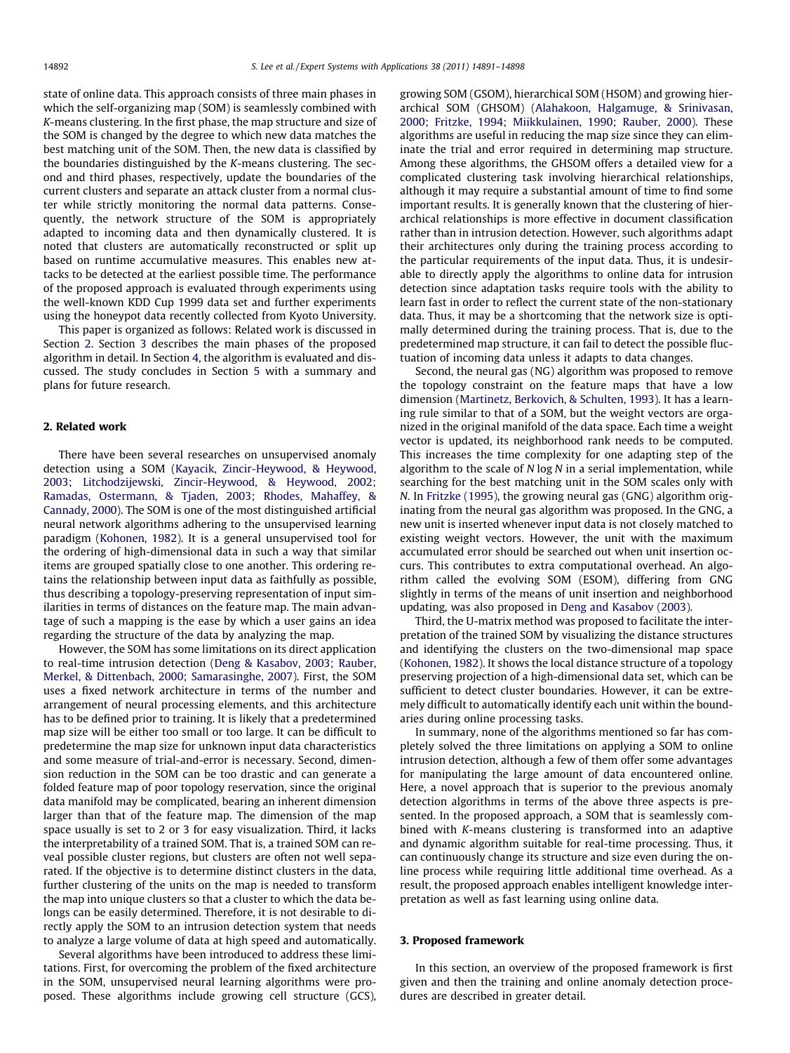state of online data. This approach consists of three main phases in which the self-organizing map (SOM) is seamlessly combined with K-means clustering. In the first phase, the map structure and size of the SOM is changed by the degree to which new data matches the best matching unit of the SOM. Then, the new data is classified by the boundaries distinguished by the K-means clustering. The second and third phases, respectively, update the boundaries of the current clusters and separate an attack cluster from a normal cluster while strictly monitoring the normal data patterns. Consequently, the network structure of the SOM is appropriately adapted to incoming data and then dynamically clustered. It is noted that clusters are automatically reconstructed or split up based on runtime accumulative measures. This enables new attacks to be detected at the earliest possible time. The performance of the proposed approach is evaluated through experiments using the well-known KDD Cup 1999 data set and further experiments using the honeypot data recently collected from Kyoto University.

This paper is organized as follows: Related work is discussed in Section 2. Section 3 describes the main phases of the proposed algorithm in detail. In Section [4,](#page--1-0) the algorithm is evaluated and discussed. The study concludes in Section [5](#page--1-0) with a summary and plans for future research.

#### 2. Related work

There have been several researches on unsupervised anomaly detection using a SOM [\(Kayacik, Zincir-Heywood, & Heywood,](#page--1-0) [2003; Litchodzijewski, Zincir-Heywood, & Heywood, 2002;](#page--1-0) [Ramadas, Ostermann, & Tjaden, 2003; Rhodes, Mahaffey, &](#page--1-0) [Cannady, 2000](#page--1-0)). The SOM is one of the most distinguished artificial neural network algorithms adhering to the unsupervised learning paradigm [\(Kohonen, 1982\)](#page--1-0). It is a general unsupervised tool for the ordering of high-dimensional data in such a way that similar items are grouped spatially close to one another. This ordering retains the relationship between input data as faithfully as possible, thus describing a topology-preserving representation of input similarities in terms of distances on the feature map. The main advantage of such a mapping is the ease by which a user gains an idea regarding the structure of the data by analyzing the map.

However, the SOM has some limitations on its direct application to real-time intrusion detection ([Deng & Kasabov, 2003; Rauber,](#page--1-0) [Merkel, & Dittenbach, 2000; Samarasinghe, 2007\)](#page--1-0). First, the SOM uses a fixed network architecture in terms of the number and arrangement of neural processing elements, and this architecture has to be defined prior to training. It is likely that a predetermined map size will be either too small or too large. It can be difficult to predetermine the map size for unknown input data characteristics and some measure of trial-and-error is necessary. Second, dimension reduction in the SOM can be too drastic and can generate a folded feature map of poor topology reservation, since the original data manifold may be complicated, bearing an inherent dimension larger than that of the feature map. The dimension of the map space usually is set to 2 or 3 for easy visualization. Third, it lacks the interpretability of a trained SOM. That is, a trained SOM can reveal possible cluster regions, but clusters are often not well separated. If the objective is to determine distinct clusters in the data, further clustering of the units on the map is needed to transform the map into unique clusters so that a cluster to which the data belongs can be easily determined. Therefore, it is not desirable to directly apply the SOM to an intrusion detection system that needs to analyze a large volume of data at high speed and automatically.

Several algorithms have been introduced to address these limitations. First, for overcoming the problem of the fixed architecture in the SOM, unsupervised neural learning algorithms were proposed. These algorithms include growing cell structure (GCS), growing SOM (GSOM), hierarchical SOM (HSOM) and growing hierarchical SOM (GHSOM) ([Alahakoon, Halgamuge, & Srinivasan,](#page--1-0) [2000; Fritzke, 1994; Miikkulainen, 1990; Rauber, 2000\)](#page--1-0). These algorithms are useful in reducing the map size since they can eliminate the trial and error required in determining map structure. Among these algorithms, the GHSOM offers a detailed view for a complicated clustering task involving hierarchical relationships, although it may require a substantial amount of time to find some important results. It is generally known that the clustering of hierarchical relationships is more effective in document classification rather than in intrusion detection. However, such algorithms adapt their architectures only during the training process according to the particular requirements of the input data. Thus, it is undesirable to directly apply the algorithms to online data for intrusion detection since adaptation tasks require tools with the ability to learn fast in order to reflect the current state of the non-stationary data. Thus, it may be a shortcoming that the network size is optimally determined during the training process. That is, due to the predetermined map structure, it can fail to detect the possible fluctuation of incoming data unless it adapts to data changes.

Second, the neural gas (NG) algorithm was proposed to remove the topology constraint on the feature maps that have a low dimension ([Martinetz, Berkovich, & Schulten, 1993](#page--1-0)). It has a learning rule similar to that of a SOM, but the weight vectors are organized in the original manifold of the data space. Each time a weight vector is updated, its neighborhood rank needs to be computed. This increases the time complexity for one adapting step of the algorithm to the scale of  $N \log N$  in a serial implementation, while searching for the best matching unit in the SOM scales only with N. In [Fritzke \(1995\)](#page--1-0), the growing neural gas (GNG) algorithm originating from the neural gas algorithm was proposed. In the GNG, a new unit is inserted whenever input data is not closely matched to existing weight vectors. However, the unit with the maximum accumulated error should be searched out when unit insertion occurs. This contributes to extra computational overhead. An algorithm called the evolving SOM (ESOM), differing from GNG slightly in terms of the means of unit insertion and neighborhood updating, was also proposed in [Deng and Kasabov \(2003\)](#page--1-0).

Third, the U-matrix method was proposed to facilitate the interpretation of the trained SOM by visualizing the distance structures and identifying the clusters on the two-dimensional map space ([Kohonen, 1982](#page--1-0)). It shows the local distance structure of a topology preserving projection of a high-dimensional data set, which can be sufficient to detect cluster boundaries. However, it can be extremely difficult to automatically identify each unit within the boundaries during online processing tasks.

In summary, none of the algorithms mentioned so far has completely solved the three limitations on applying a SOM to online intrusion detection, although a few of them offer some advantages for manipulating the large amount of data encountered online. Here, a novel approach that is superior to the previous anomaly detection algorithms in terms of the above three aspects is presented. In the proposed approach, a SOM that is seamlessly combined with K-means clustering is transformed into an adaptive and dynamic algorithm suitable for real-time processing. Thus, it can continuously change its structure and size even during the online process while requiring little additional time overhead. As a result, the proposed approach enables intelligent knowledge interpretation as well as fast learning using online data.

#### 3. Proposed framework

In this section, an overview of the proposed framework is first given and then the training and online anomaly detection procedures are described in greater detail.